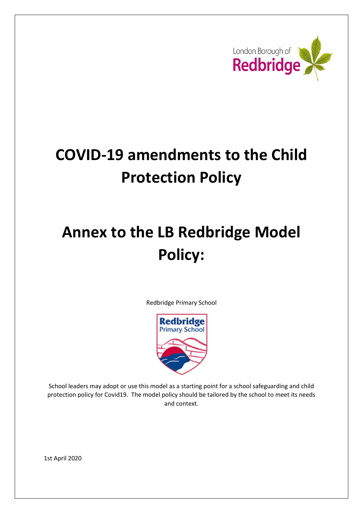

## **COVID-19 amendments to the Child Protection Policy**

# **Annex to the LB Redbridge Model Policy:**

Redbridge Primary School



School leaders may adopt or use this model as a starting point for a school safeguarding and child protection policy for Covid19. The model policy should be tailored by the school to meet its needs and context.

1st April 2020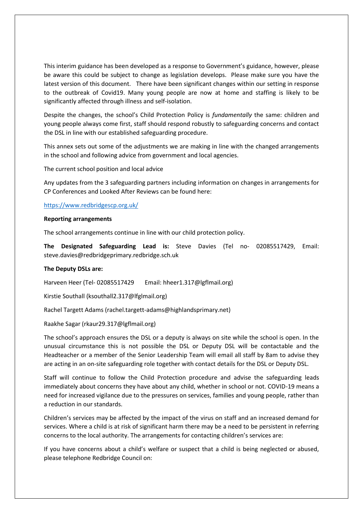This interim guidance has been developed as a response to Government's guidance, however, please be aware this could be subject to change as legislation develops. Please make sure you have the latest version of this document. There have been significant changes within our setting in response to the outbreak of Covid19. Many young people are now at home and staffing is likely to be significantly affected through illness and self-isolation.

Despite the changes, the school's Child Protection Policy is *fundamentally* the same: children and young people always come first, staff should respond robustly to safeguarding concerns and contact the DSL in line with our established safeguarding procedure.

This annex sets out some of the adjustments we are making in line with the changed arrangements in the school and following advice from government and local agencies.

The current school position and local advice

Any updates from the 3 safeguarding partners including information on changes in arrangements for CP Conferences and Looked After Reviews can be found here:

<https://www.redbridgescp.org.uk/>

#### **Reporting arrangements**

The school arrangements continue in line with our child protection policy.

**The Designated Safeguarding Lead is:** Steve Davies (Tel no- 02085517429, Email: steve.davies@redbridgeprimary.redbridge.sch.uk

#### **The Deputy DSLs are:**

Harveen Heer (Tel- 02085517429 Email: hheer1.317@lgflmail.org)

Kirstie Southall (ksouthall2.317@lfglmail.org)

Rachel Targett Adams (rachel.targett-adams@highlandsprimary.net)

Raakhe Sagar (rkaur29.317@lgflmail.org)

The school's approach ensures the DSL or a deputy is always on site while the school is open. In the unusual circumstance this is not possible the DSL or Deputy DSL will be contactable and the Headteacher or a member of the Senior Leadership Team will email all staff by 8am to advise they are acting in an on-site safeguarding role together with contact details for the DSL or Deputy DSL.

Staff will continue to follow the Child Protection procedure and advise the safeguarding leads immediately about concerns they have about any child, whether in school or not. COVID-19 means a need for increased vigilance due to the pressures on services, families and young people, rather than a reduction in our standards.

Children's services may be affected by the impact of the virus on staff and an increased demand for services. Where a child is at risk of significant harm there may be a need to be persistent in referring concerns to the local authority. The arrangements for contacting children's services are:

If you have concerns about a child's welfare or suspect that a child is being neglected or abused, please telephone Redbridge Council on: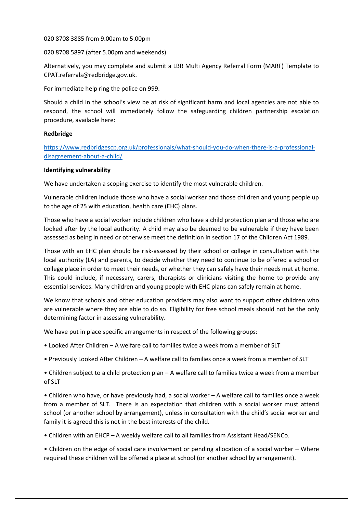020 8708 3885 from 9.00am to 5.00pm

020 8708 5897 (after 5.00pm and weekends)

Alternatively, you may complete and submit a LBR Multi Agency Referral Form (MARF) Template to CPAT.referrals@redbridge.gov.uk.

For immediate help ring the police on 999.

Should a child in the school's view be at risk of significant harm and local agencies are not able to respond, the school will immediately follow the safeguarding children partnership escalation procedure, available here:

#### **Redbridge**

[https://www.redbridgescp.org.uk/professionals/what-should-you-do-when-there-is-a-professional](https://www.redbridgescp.org.uk/professionals/what-should-you-do-when-there-is-a-professional-disagreement-about-a-child/)[disagreement-about-a-child/](https://www.redbridgescp.org.uk/professionals/what-should-you-do-when-there-is-a-professional-disagreement-about-a-child/)

#### **Identifying vulnerability**

We have undertaken a scoping exercise to identify the most vulnerable children.

Vulnerable children include those who have a social worker and those children and young people up to the age of 25 with education, health care (EHC) plans.

Those who have a social worker include children who have a child protection plan and those who are looked after by the local authority. A child may also be deemed to be vulnerable if they have been assessed as being in need or otherwise meet the definition in section 17 of the Children Act 1989.

Those with an EHC plan should be risk-assessed by their school or college in consultation with the local authority (LA) and parents, to decide whether they need to continue to be offered a school or college place in order to meet their needs, or whether they can safely have their needs met at home. This could include, if necessary, carers, therapists or clinicians visiting the home to provide any essential services. Many children and young people with EHC plans can safely remain at home.

We know that schools and other education providers may also want to support other children who are vulnerable where they are able to do so. Eligibility for free school meals should not be the only determining factor in assessing vulnerability.

We have put in place specific arrangements in respect of the following groups:

- Looked After Children A welfare call to families twice a week from a member of SLT
- Previously Looked After Children A welfare call to families once a week from a member of SLT

• Children subject to a child protection plan – A welfare call to families twice a week from a member of SLT

• Children who have, or have previously had, a social worker – A welfare call to families once a week from a member of SLT. There is an expectation that children with a social worker must attend school (or another school by arrangement), unless in consultation with the child's social worker and family it is agreed this is not in the best interests of the child.

• Children with an EHCP – A weekly welfare call to all families from Assistant Head/SENCo.

• Children on the edge of social care involvement or pending allocation of a social worker – Where required these children will be offered a place at school (or another school by arrangement).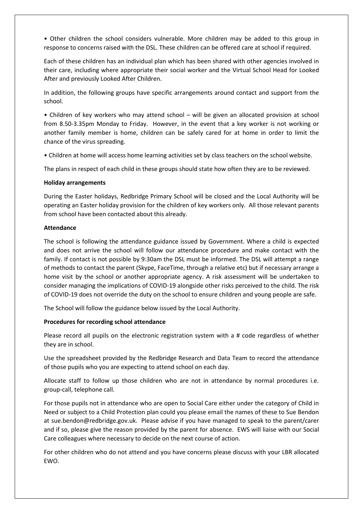• Other children the school considers vulnerable. More children may be added to this group in response to concerns raised with the DSL. These children can be offered care at school if required.

Each of these children has an individual plan which has been shared with other agencies involved in their care, including where appropriate their social worker and the Virtual School Head for Looked After and previously Looked After Children.

In addition, the following groups have specific arrangements around contact and support from the school.

• Children of key workers who may attend school – will be given an allocated provision at school from 8.50-3.35pm Monday to Friday. However, in the event that a key worker is not working or another family member is home, children can be safely cared for at home in order to limit the chance of the virus spreading.

• Children at home will access home learning activities set by class teachers on the school website.

The plans in respect of each child in these groups should state how often they are to be reviewed.

## **Holiday arrangements**

During the Easter holidays, Redbridge Primary School will be closed and the Local Authority will be operating an Easter holiday provision for the children of key workers only. All those relevant parents from school have been contacted about this already.

## **Attendance**

The school is following the attendance guidance issued by Government. Where a child is expected and does not arrive the school will follow our attendance procedure and make contact with the family. If contact is not possible by 9:30am the DSL must be informed. The DSL will attempt a range of methods to contact the parent (Skype, FaceTime, through a relative etc) but if necessary arrange a home visit by the school or another appropriate agency. A risk assessment will be undertaken to consider managing the implications of COVID-19 alongside other risks perceived to the child. The risk of COVID-19 does not override the duty on the school to ensure children and young people are safe.

The School will follow the guidance below issued by the Local Authority.

## **Procedures for recording school attendance**

Please record all pupils on the electronic registration system with a # code regardless of whether they are in school.

Use the spreadsheet provided by the Redbridge Research and Data Team to record the attendance of those pupils who you are expecting to attend school on each day.

Allocate staff to follow up those children who are not in attendance by normal procedures i.e. group-call, telephone call.

For those pupils not in attendance who are open to Social Care either under the category of Child in Need or subject to a Child Protection plan could you please email the names of these to Sue Bendon at sue.bendon@redbridge.gov.uk. Please advise if you have managed to speak to the parent/carer and if so, please give the reason provided by the parent for absence. EWS will liaise with our Social Care colleagues where necessary to decide on the next course of action.

For other children who do not attend and you have concerns please discuss with your LBR allocated EWO.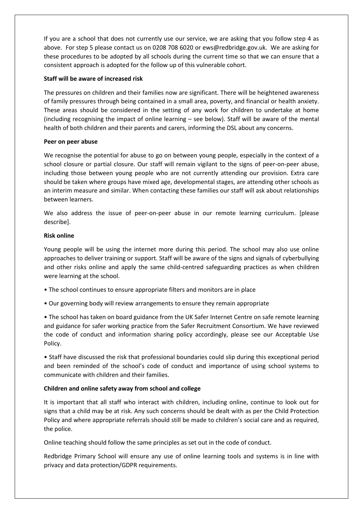If you are a school that does not currently use our service, we are asking that you follow step 4 as above. For step 5 please contact us on 0208 708 6020 or ews@redbridge.gov.uk. We are asking for these procedures to be adopted by all schools during the current time so that we can ensure that a consistent approach is adopted for the follow up of this vulnerable cohort.

## **Staff will be aware of increased risk**

The pressures on children and their families now are significant. There will be heightened awareness of family pressures through being contained in a small area, poverty, and financial or health anxiety. These areas should be considered in the setting of any work for children to undertake at home (including recognising the impact of online learning – see below). Staff will be aware of the mental health of both children and their parents and carers, informing the DSL about any concerns.

## **Peer on peer abuse**

We recognise the potential for abuse to go on between young people, especially in the context of a school closure or partial closure. Our staff will remain vigilant to the signs of peer-on-peer abuse, including those between young people who are not currently attending our provision. Extra care should be taken where groups have mixed age, developmental stages, are attending other schools as an interim measure and similar. When contacting these families our staff will ask about relationships between learners.

We also address the issue of peer-on-peer abuse in our remote learning curriculum. [please describe].

## **Risk online**

Young people will be using the internet more during this period. The school may also use online approaches to deliver training or support. Staff will be aware of the signs and signals of cyberbullying and other risks online and apply the same child-centred safeguarding practices as when children were learning at the school.

- The school continues to ensure appropriate filters and monitors are in place
- Our governing body will review arrangements to ensure they remain appropriate

• The school has taken on board guidance from the UK Safer Internet Centre on safe remote learning and guidance for safer working practice from the Safer Recruitment Consortium. We have reviewed the code of conduct and information sharing policy accordingly, please see our Acceptable Use Policy.

• Staff have discussed the risk that professional boundaries could slip during this exceptional period and been reminded of the school's code of conduct and importance of using school systems to communicate with children and their families.

## **Children and online safety away from school and college**

It is important that all staff who interact with children, including online, continue to look out for signs that a child may be at risk. Any such concerns should be dealt with as per the Child Protection Policy and where appropriate referrals should still be made to children's social care and as required, the police.

Online teaching should follow the same principles as set out in the code of conduct.

Redbridge Primary School will ensure any use of online learning tools and systems is in line with privacy and data protection/GDPR requirements.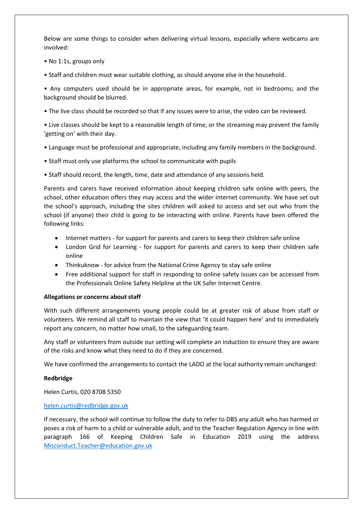Below are some things to consider when delivering virtual lessons, especially where webcams are involved:

- No 1:1s, groups only
- Staff and children must wear suitable clothing, as should anyone else in the household.

• Any computers used should be in appropriate areas, for example, not in bedrooms; and the background should be blurred.

• The live class should be recorded so that if any issues were to arise, the video can be reviewed.

• Live classes should be kept to a reasonable length of time, or the streaming may prevent the family 'getting on' with their day.

- Language must be professional and appropriate, including any family members in the background.
- Staff must only use platforms the school to communicate with pupils
- Staff should record, the length, time, date and attendance of any sessions held.

Parents and carers have received information about keeping children safe online with peers, the school, other education offers they may access and the wider internet community. We have set out the school's approach, including the sites children will asked to access and set out who from the school (if anyone) their child is going to be interacting with online. Parents have been offered the following links:

- Internet matters for support for parents and carers to keep their children safe online
- London Grid for Learning for support for parents and carers to keep their children safe online
- Thinkuknow for advice from the National Crime Agency to stay safe online
- Free additional support for staff in responding to online safety issues can be accessed from the Professionals Online Safety Helpline at the UK Safer Internet Centre.

#### **Allegations or concerns about staff**

With such different arrangements young people could be at greater risk of abuse from staff or volunteers. We remind all staff to maintain the view that 'it could happen here' and to immediately report any concern, no matter how small, to the safeguarding team.

Any staff or volunteers from outside our setting will complete an induction to ensure they are aware of the risks and know what they need to do if they are concerned.

We have confirmed the arrangements to contact the LADO at the local authority remain unchanged:

#### **Redbridge**

Helen Curtis, 020 8708 5350

#### [helen.curtis@redbridge.gov.uk](mailto:helen.curtis@redbridge.gov.uk)

If necessary, the school will continue to follow the duty to refer to DBS any adult who has harmed or poses a risk of harm to a child or vulnerable adult, and to the Teacher Regulation Agency in line with paragraph 166 of Keeping Children Safe in Education 2019 using the address [Misconduct.Teacher@education.gov.uk](mailto:Misconduct.Teacher@education.gov.uk)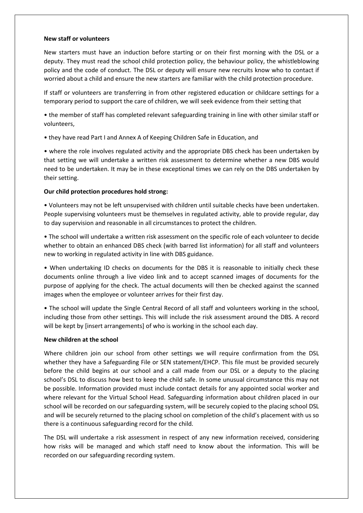#### **New staff or volunteers**

New starters must have an induction before starting or on their first morning with the DSL or a deputy. They must read the school child protection policy, the behaviour policy, the whistleblowing policy and the code of conduct. The DSL or deputy will ensure new recruits know who to contact if worried about a child and ensure the new starters are familiar with the child protection procedure.

If staff or volunteers are transferring in from other registered education or childcare settings for a temporary period to support the care of children, we will seek evidence from their setting that

• the member of staff has completed relevant safeguarding training in line with other similar staff or volunteers,

• they have read Part I and Annex A of Keeping Children Safe in Education, and

• where the role involves regulated activity and the appropriate DBS check has been undertaken by that setting we will undertake a written risk assessment to determine whether a new DBS would need to be undertaken. It may be in these exceptional times we can rely on the DBS undertaken by their setting.

## **Our child protection procedures hold strong:**

• Volunteers may not be left unsupervised with children until suitable checks have been undertaken. People supervising volunteers must be themselves in regulated activity, able to provide regular, day to day supervision and reasonable in all circumstances to protect the children.

• The school will undertake a written risk assessment on the specific role of each volunteer to decide whether to obtain an enhanced DBS check (with barred list information) for all staff and volunteers new to working in regulated activity in line with DBS guidance.

• When undertaking ID checks on documents for the DBS it is reasonable to initially check these documents online through a live video link and to accept scanned images of documents for the purpose of applying for the check. The actual documents will then be checked against the scanned images when the employee or volunteer arrives for their first day.

• The school will update the Single Central Record of all staff and volunteers working in the school, including those from other settings. This will include the risk assessment around the DBS. A record will be kept by [insert arrangements] of who is working in the school each day.

## **New children at the school**

Where children join our school from other settings we will require confirmation from the DSL whether they have a Safeguarding File or SEN statement/EHCP. This file must be provided securely before the child begins at our school and a call made from our DSL or a deputy to the placing school's DSL to discuss how best to keep the child safe. In some unusual circumstance this may not be possible. Information provided must include contact details for any appointed social worker and where relevant for the Virtual School Head. Safeguarding information about children placed in our school will be recorded on our safeguarding system, will be securely copied to the placing school DSL and will be securely returned to the placing school on completion of the child's placement with us so there is a continuous safeguarding record for the child.

The DSL will undertake a risk assessment in respect of any new information received, considering how risks will be managed and which staff need to know about the information. This will be recorded on our safeguarding recording system.